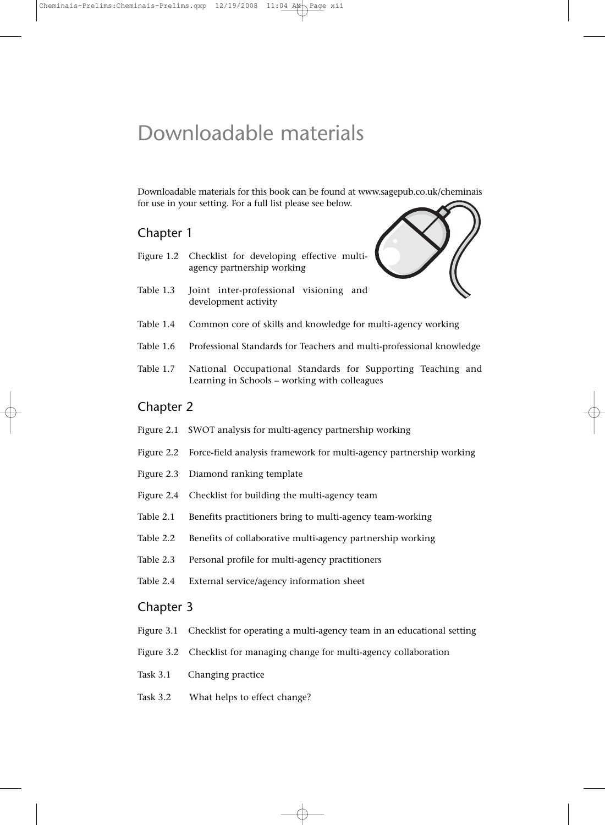# Downloadable materials

Downloadable materials for this book can be found at www.sagepub.co.uk/cheminais for use in your setting. For a full list please see below.

## Chapter 1

- Figure 1.2 Checklist for developing effective multiagency partnership working
- Table 1.3 Joint inter-professional visioning and development activity



- Table 1.6 Professional Standards for Teachers and multi-professional knowledge
- Table 1.7 National Occupational Standards for Supporting Teaching and Learning in Schools – working with colleagues

## Chapter 2

- Figure 2.1 SWOT analysis for multi-agency partnership working
- Figure 2.2 Force-field analysis framework for multi-agency partnership working
- Figure 2.3 Diamond ranking template
- Figure 2.4 Checklist for building the multi-agency team
- Table 2.1 Benefits practitioners bring to multi-agency team-working
- Table 2.2 Benefits of collaborative multi-agency partnership working
- Table 2.3 Personal profile for multi-agency practitioners
- Table 2.4 External service/agency information sheet

#### Chapter 3

- Figure 3.1 Checklist for operating a multi-agency team in an educational setting
- Figure 3.2 Checklist for managing change for multi-agency collaboration
- Task 3.1 Changing practice
- Task 3.2 What helps to effect change?